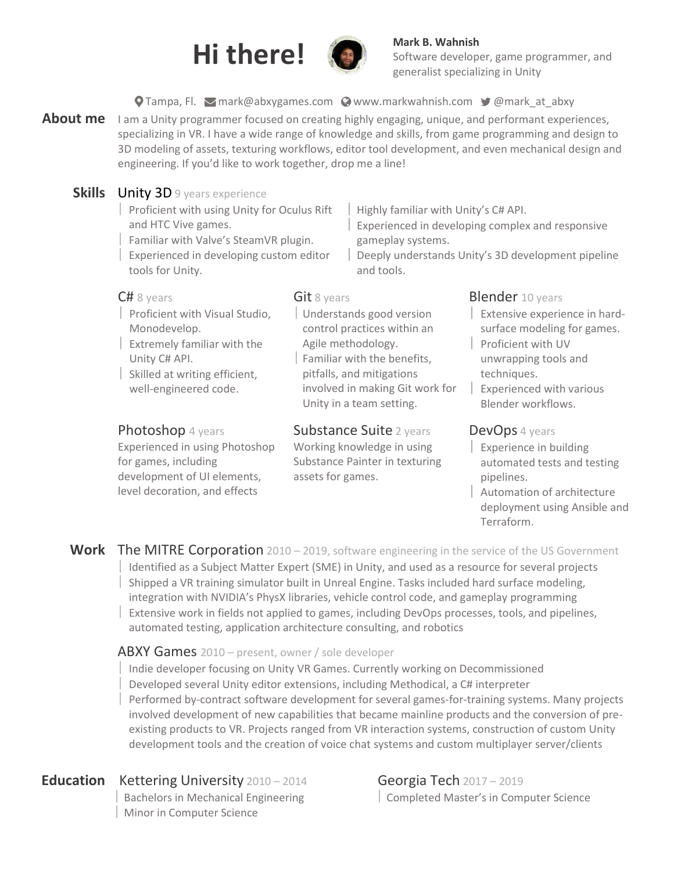



# Software developer, game programmer, and generalist specializing in Unity

### **O** Tampa, Fl. Mark@abxygames.com **@[www.markwahnish.com](http://www.markwahnish.com/) y** [@mark\\_at\\_abxy](mailto:https://twitter.com/mark_at_ABXY)

- About me I am a Unity programmer focused on creating highly engaging, unique, and performant experiences, specializing in VR. I have a wide range of knowledge and skills, from game programming and design to 3D modeling of assets, texturing workflows, editor tool development, and even mechanical design and engineering. If you'd like to work together, drop me a line!
	- **Skills** Unity 3D 9 years experience Proficient with using Unity for Oculus Rift and HTC Vive games.
		- Familiar with Valve's SteamVR plugin.
		- Experienced in developing custom editor tools for Unity.

#### $C# 8$  years

- Proficient with Visual Studio, Monodevelop.
- Extremely familiar with the Unity C# API.
- Skilled at writing efficient, well-engineered code.

### Photoshop 4 years

Experienced in using Photoshop for games, including development of UI elements, level decoration, and effects

### Git 8 years

 Understands good version control practices within an Agile methodology.

and tools.

 Familiar with the benefits, pitfalls, and mitigations involved in making Git work for Unity in a team setting.

# Substance Suite 2 years

Working knowledge in using Substance Painter in texturing assets for games.

### **Blender** 10 years

Highly familiar with Unity's C# API.

gameplay systems.

Experienced in developing complex and responsive

Deeply understands Unity's 3D development pipeline

- Extensive experience in hardsurface modeling for games.
- Proficient with UV unwrapping tools and techniques.
- Experienced with various Blender workflows.

# DevOps 4 years

- Experience in building automated tests and testing pipelines.
- Automation of architecture deployment using Ansible and Terraform.
- Work The MITRE Corporation 2010 2019, software engineering in the service of the US Government Identified as a Subject Matter Expert (SME) in Unity, and used as a resource for several projects Shipped a VR training simulator built in Unreal Engine. Tasks included hard surface modeling, integration with NVIDIA's PhysX libraries, vehicle control code, and gameplay programming
	- Extensive work in fields not applied to games, including DevOps processes, tools, and pipelines, automated testing, application architecture consulting, and robotics

### ABXY Games 2010 – present, owner / sole developer

- Indie developer focusing on Unity VR Games. Currently working on Decommissioned
- Developed several Unity editor extensions, including Methodical, a C# interpreter
- Performed by-contract software development for several games-for-training systems. Many projects involved development of new capabilities that became mainline products and the conversion of preexisting products to VR. Projects ranged from VR interaction systems, construction of custom Unity development tools and the creation of voice chat systems and custom multiplayer server/clients

# **Education** Kettering University 2010 – 2014

 Bachelors in Mechanical Engineering Minor in Computer Science

Georgia Tech 2017 – 2019 Completed Master's in Computer Science